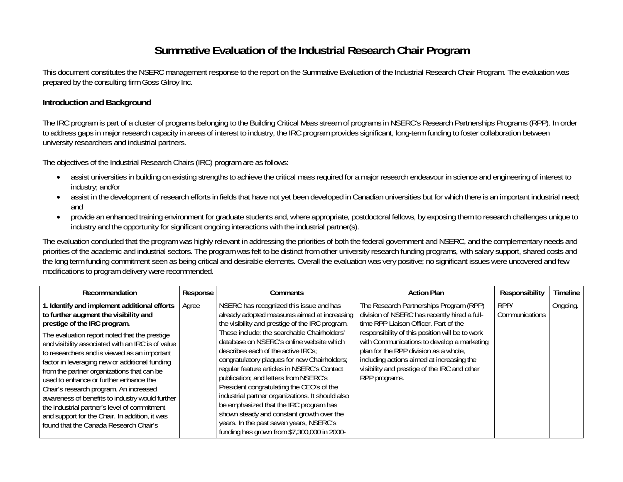## **Summative Evaluation of the Industrial Research Chair Program**

This document constitutes the NSERC management response to the report on the Summative Evaluation of the Industrial Research Chair Program. The evaluation was prepared by the consulting firm Goss Gilroy Inc.

## **Introduction and Background**

The IRC program is part of a cluster of programs belonging to the Building Critical Mass stream of programs in NSERC's Research Partnerships Programs (RPP). In order to address gaps in major research capacity in areas of interest to industry, the IRC program provides significant, long-term funding to foster collaboration between university researchers and industrial partners.

The objectives of the Industrial Research Chairs (IRC) program are as follows:

- assist universities in building on existing strengths to achieve the critical mass required for a major research endeavour in science and engineering of interest to industry; and/or
- assist in the development of research efforts in fields that have not yet been developed in Canadian universities but for which there is an important industrial need; and
- provide an enhanced training environment for graduate students and, where appropriate, postdoctoral fellows, by exposing them to research challenges unique to industry and the opportunity for significant ongoing interactions with the industrial partner(s).

The evaluation concluded that the program was highly relevant in addressing the priorities of both the federal government and NSERC, and the complementary needs and priorities of the academic and industrial sectors. The program was felt to be distinct from other university research funding programs, with salary support, shared costs and the long term funding commitment seen as being critical and desirable elements. Overall the evaluation was very positive; no significant issues were uncovered and few modifications to program delivery were recommended.

| Recommendation                                                                                                                                                                                                                                                                                                                                                                                                                                                                                                                                                                                                                                                 | Response | Comments                                                                                                                                                                                                                                                                                                                                                                                                                                                                                                                                                                                                                                                                                              | <b>Action Plan</b>                                                                                                                                                                                                                                                                                                                                                                       | Responsibility         | <b>Timeline</b> |
|----------------------------------------------------------------------------------------------------------------------------------------------------------------------------------------------------------------------------------------------------------------------------------------------------------------------------------------------------------------------------------------------------------------------------------------------------------------------------------------------------------------------------------------------------------------------------------------------------------------------------------------------------------------|----------|-------------------------------------------------------------------------------------------------------------------------------------------------------------------------------------------------------------------------------------------------------------------------------------------------------------------------------------------------------------------------------------------------------------------------------------------------------------------------------------------------------------------------------------------------------------------------------------------------------------------------------------------------------------------------------------------------------|------------------------------------------------------------------------------------------------------------------------------------------------------------------------------------------------------------------------------------------------------------------------------------------------------------------------------------------------------------------------------------------|------------------------|-----------------|
| 1. Identify and implement additional efforts<br>to further augment the visibility and<br>prestige of the IRC program.<br>The evaluation report noted that the prestige<br>and visibility associated with an IRC is of value<br>to researchers and is viewed as an important<br>factor in leveraging new or additional funding<br>from the partner organizations that can be<br>used to enhance or further enhance the<br>Chair's research program. An increased<br>awareness of benefits to industry would further<br>the industrial partner's level of commitment<br>and support for the Chair. In addition, it was<br>found that the Canada Research Chair's | Agree    | NSERC has recognized this issue and has<br>already adopted measures aimed at increasing<br>the visibility and prestige of the IRC program.<br>These include: the searchable Chairholders'<br>database on NSERC's online website which<br>describes each of the active IRCs;<br>congratulatory plaques for new Chairholders;<br>regular feature articles in NSERC's Contact<br>publication; and letters from NSERC's<br>President congratulating the CEO's of the<br>industrial partner organizations. It should also<br>be emphasized that the IRC program has<br>shown steady and constant growth over the<br>years. In the past seven years, NSERC's<br>funding has grown from \$7,300,000 in 2000- | The Research Partnerships Program (RPP)<br>division of NSERC has recently hired a full-<br>time RPP Liaison Officer. Part of the<br>responsibility of this position will be to work<br>with Communications to develop a marketing<br>plan for the RPP division as a whole,<br>including actions aimed at increasing the<br>visibility and prestige of the IRC and other<br>RPP programs. | RPP/<br>Communications | Ongoing.        |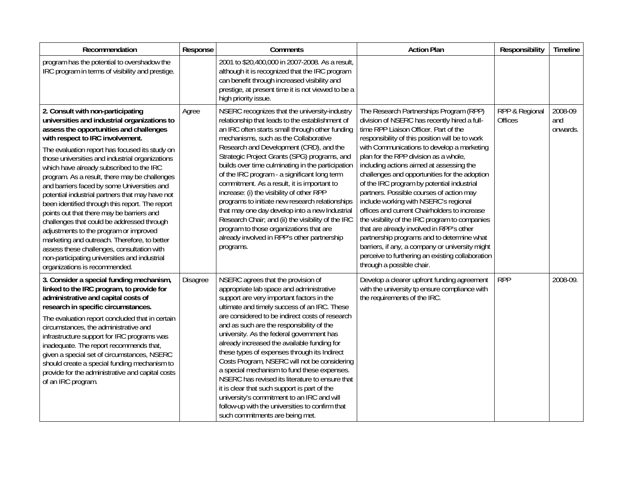| Recommendation                                                                                                                                                                                                                                                                                                                                                                                                                                                                                                                                                                                                                                                                                                                                                                                                                               | Response | Comments                                                                                                                                                                                                                                                                                                                                                                                                                                                                                                                                                                                                                                                                                                                                                      | <b>Action Plan</b>                                                                                                                                                                                                                                                                                                                                                                                                                                                                                                                                                                                                                                                                                                                                                                                                                         | Responsibility                   | Timeline                   |
|----------------------------------------------------------------------------------------------------------------------------------------------------------------------------------------------------------------------------------------------------------------------------------------------------------------------------------------------------------------------------------------------------------------------------------------------------------------------------------------------------------------------------------------------------------------------------------------------------------------------------------------------------------------------------------------------------------------------------------------------------------------------------------------------------------------------------------------------|----------|---------------------------------------------------------------------------------------------------------------------------------------------------------------------------------------------------------------------------------------------------------------------------------------------------------------------------------------------------------------------------------------------------------------------------------------------------------------------------------------------------------------------------------------------------------------------------------------------------------------------------------------------------------------------------------------------------------------------------------------------------------------|--------------------------------------------------------------------------------------------------------------------------------------------------------------------------------------------------------------------------------------------------------------------------------------------------------------------------------------------------------------------------------------------------------------------------------------------------------------------------------------------------------------------------------------------------------------------------------------------------------------------------------------------------------------------------------------------------------------------------------------------------------------------------------------------------------------------------------------------|----------------------------------|----------------------------|
| program has the potential to overshadow the<br>IRC program in terms of visibility and prestige.                                                                                                                                                                                                                                                                                                                                                                                                                                                                                                                                                                                                                                                                                                                                              |          | 2001 to \$20,400,000 in 2007-2008. As a result,<br>although it is recognized that the IRC program<br>can benefit through increased visibility and<br>prestige, at present time it is not viewed to be a<br>high priority issue.                                                                                                                                                                                                                                                                                                                                                                                                                                                                                                                               |                                                                                                                                                                                                                                                                                                                                                                                                                                                                                                                                                                                                                                                                                                                                                                                                                                            |                                  |                            |
| 2. Consult with non-participating<br>universities and industrial organizations to<br>assess the opportunities and challenges<br>with respect to IRC involvement.<br>The evaluation report has focused its study on<br>those universities and industrial organizations<br>which have already subscribed to the IRC<br>program. As a result, there may be challenges<br>and barriers faced by some Universities and<br>potential industrial partners that may have not<br>been identified through this report. The report<br>points out that there may be barriers and<br>challenges that could be addressed through<br>adjustments to the program or improved<br>marketing and outreach. Therefore, to better<br>assess these challenges, consultation with<br>non-participating universities and industrial<br>organizations is recommended. | Agree    | NSERC recognizes that the university-industry<br>relationship that leads to the establishment of<br>an IRC often starts small through other funding<br>mechanisms, such as the Collaborative<br>Research and Development (CRD), and the<br>Strategic Project Grants (SPG) programs, and<br>builds over time culminating in the participation<br>of the IRC program - a significant long term<br>commitment. As a result, it is important to<br>increase: (i) the visibility of other RPP<br>programs to initiate new research relationships<br>that may one day develop into a new Industrial<br>Research Chair; and (ii) the visibility of the IRC<br>program to those organizations that are<br>already involved in RPP's other partnership<br>programs.    | The Research Partnerships Program (RPP)<br>division of NSERC has recently hired a full-<br>time RPP Liaison Officer. Part of the<br>responsibility of this position will be to work<br>with Communications to develop a marketing<br>plan for the RPP division as a whole,<br>including actions aimed at assessing the<br>challenges and opportunities for the adoption<br>of the IRC program by potential industrial<br>partners. Possible courses of action may<br>include working with NSERC's regional<br>offices and current Chairholders to increase<br>the visibility of the IRC program to companies<br>that are already involved in RPP's other<br>partnership programs and to determine what<br>barriers, if any, a company or university might<br>perceive to furthering an existing collaboration<br>through a possible chair. | RPP & Regional<br><b>Offices</b> | 2008-09<br>and<br>onwards. |
| 3. Consider a special funding mechanism,<br>linked to the IRC program, to provide for<br>administrative and capital costs of<br>research in specific circumstances.<br>The evaluation report concluded that in certain<br>circumstances, the administrative and<br>infrastructure support for IRC programs was<br>inadequate. The report recommends that,<br>given a special set of circumstances, NSERC<br>should create a special funding mechanism to<br>provide for the administrative and capital costs<br>of an IRC program.                                                                                                                                                                                                                                                                                                           | Disagree | NSERC agrees that the provision of<br>appropriate lab space and administrative<br>support are very important factors in the<br>ultimate and timely success of an IRC. These<br>are considered to be indirect costs of research<br>and as such are the responsibility of the<br>university. As the federal government has<br>already increased the available funding for<br>these types of expenses through its Indirect<br>Costs Program, NSERC will not be considering<br>a special mechanism to fund these expenses.<br>NSERC has revised its literature to ensure that<br>it is clear that such support is part of the<br>university's commitment to an IRC and will<br>follow-up with the universities to confirm that<br>such commitments are being met. | Develop a clearer upfront funding agreement<br>with the university tp ensure compliance with<br>the requirements of the IRC.                                                                                                                                                                                                                                                                                                                                                                                                                                                                                                                                                                                                                                                                                                               | <b>RPP</b>                       | 2008-09.                   |